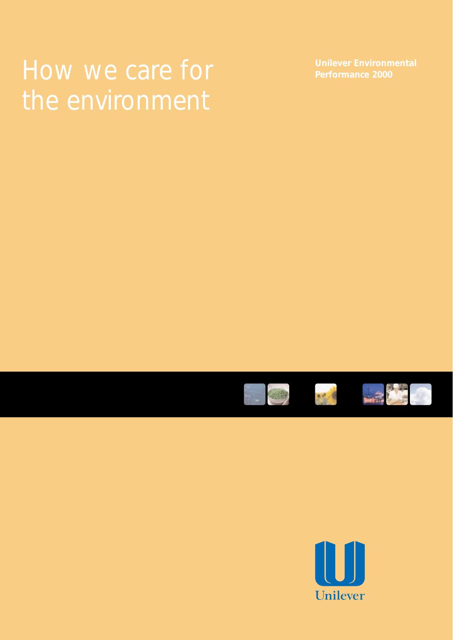# How we care for **Performance 2000**







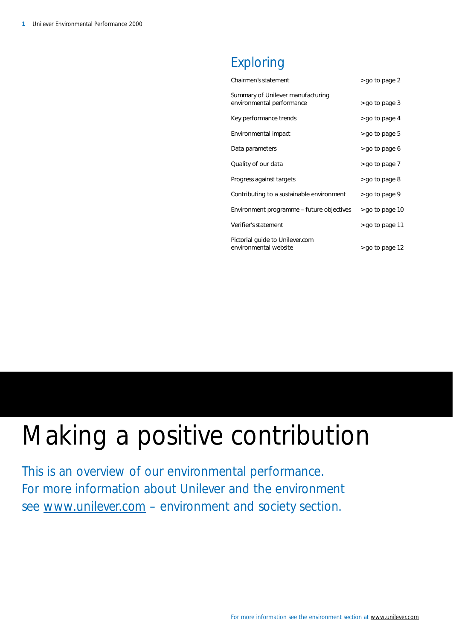### Exploring

| Chairmen's statement                                           | > go to page 2  |
|----------------------------------------------------------------|-----------------|
| Summary of Unilever manufacturing<br>environmental performance | > go to page 3  |
| Key performance trends                                         | > go to page 4  |
| Environmental impact                                           | > go to page 5  |
| Data parameters                                                | > go to page 6  |
| Quality of our data                                            | > go to page 7  |
| Progress against targets                                       | > go to page 8  |
| Contributing to a sustainable environment                      | > go to page 9  |
| Environment programme – future objectives                      | > go to page 10 |
| Verifier's statement                                           | > go to page 11 |
| Pictorial quide to Unilever.com<br>environmental website       | > go to page 12 |

# Making a positive contribution

This is an overview of our environmental performance. For more information about Unilever and the environment see [www.unilever.com](http://www.unilever.com) - environment and society section.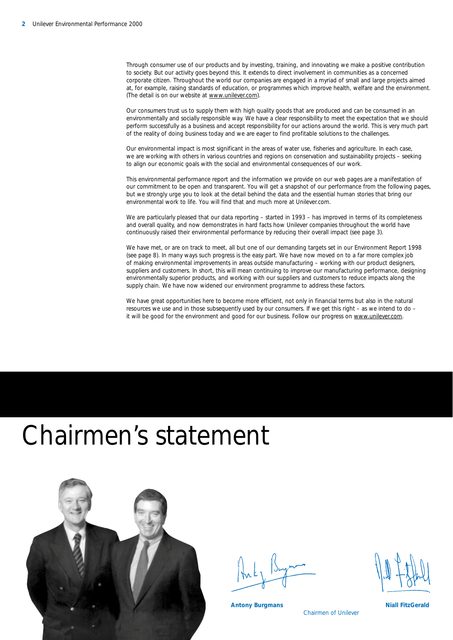Through consumer use of our products and by investing, training, and innovating we make a positive contribution to society. But our activity goes beyond this. It extends to direct involvement in communities as a concerned corporate citizen. Throughout the world our companies are engaged in a myriad of small and large projects aimed at, for example, raising standards of education, or programmes which improve health, welfare and the environment. (The detail is on our website a[t www.unilever.com\).](http://www.unilever.com) 

Our consumers trust us to supply them with high quality goods that are produced and can be consumed in an environmentally and socially responsible way. We have a clear responsibility to meet the expectation that we should perform successfully as a business and accept responsibility for our actions around the world. This is very much part of the reality of doing business today and we are eager to find profitable solutions to the challenges.

Our environmental impact is most significant in the areas of water use, fisheries and agriculture. In each case, we are working with others in various countries and regions on conservation and sustainability projects – seeking to align our economic goals with the social and environmental consequences of our work.

This environmental performance report and the information we provide on our web pages are a manifestation of our commitment to be open and transparent. You will get a snapshot of our performance from the following pages, but we strongly urge you to look at the detail behind the data and the essential human stories that bring our environmental work to life. You will find that and much more at Unilever.com.

We are particularly pleased that our data reporting – started in 1993 – has improved in terms of its completeness and overall quality, and now demonstrates in hard facts how Unilever companies throughout the world have continuously raised their environmental performance by reducing their overall impact (see page 3).

We have met, or are on track to meet, all but one of our demanding targets set in our Environment Report 1998 (see page 8). In many ways such progress is the easy part. We have now moved on to a far more complex job of making environmental improvements in areas outside manufacturing – working with our product designers, suppliers and customers. In short, this will mean continuing to improve our manufacturing performance, designing environmentally superior products, and working with our suppliers and customers to reduce impacts along the supply chain. We have now widened our environment programme to address these factors.

We have great opportunities here to become more efficient, not only in financial terms but also in the natural resources we use and in those subsequently used by our consumers. If we get this right – as we intend to do – it will be good for the environment and good for our business. Follow our progress on www.unilever.com.

### Chairmen's statement



Chairmen of Unilever

**Antony Burgmans Niall FitzGerald Antony Burgmans**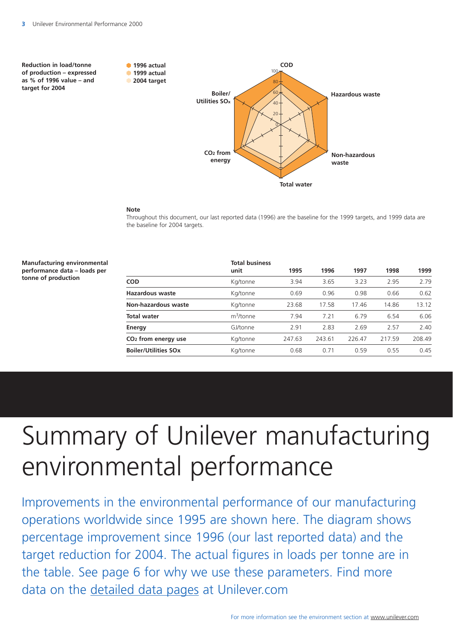<sup>100</sup>**of production – expressed 1999 actual as % of 1996 value – and 2004 target** 





### **Note**

Throughout this document, our last reported data (1996) are the baseline for the 1999 targets, and 1999 data are the baseline for 2004 targets.

| <b>Manufacturing environmental</b><br>performance data – loads per<br>tonne of production |                                 | <b>Total business</b><br>unit | 1995   | 1996   | 1997   | 1998   | 1999   |
|-------------------------------------------------------------------------------------------|---------------------------------|-------------------------------|--------|--------|--------|--------|--------|
|                                                                                           | <b>COD</b>                      | Kg/tonne                      | 3.94   | 3.65   | 3.23   | 2.95   | 2.79   |
|                                                                                           | <b>Hazardous waste</b>          | Kg/tonne                      | 0.69   | 0.96   | 0.98   | 0.66   | 0.62   |
|                                                                                           | Non-hazardous waste             | Kg/tonne                      | 23.68  | 17.58  | 17.46  | 14.86  | 13.12  |
|                                                                                           | <b>Total water</b>              | $m^3$ /tonne                  | 7.94   | 7.21   | 6.79   | 6.54   | 6.06   |
|                                                                                           | Energy                          | GJ/tonne                      | 2.91   | 2.83   | 2.69   | 2.57   | 2.40   |
|                                                                                           | CO <sub>2</sub> from energy use | Kg/tonne                      | 247.63 | 243.61 | 226.47 | 217.59 | 208.49 |
|                                                                                           | <b>Boiler/Utilities SOx</b>     | Kg/tonne                      | 0.68   | 0.71   | 0.59   | 0.55   | 0.45   |
|                                                                                           |                                 |                               |        |        |        |        |        |

# Summary of Unilever manufacturing environmental performance

Improvements in the environmental performance of our manufacturing operations worldwide since 1995 are shown here. The diagram shows percentage improvement since 1996 (our last reported data) and the target reduction for 2004. The actual figures in loads per tonne are in the table. See page 6 for why we use these parameters. Find more data on the [detailed data pages](http://www.unilever.com/en/ui_dd.html) at Unilever.com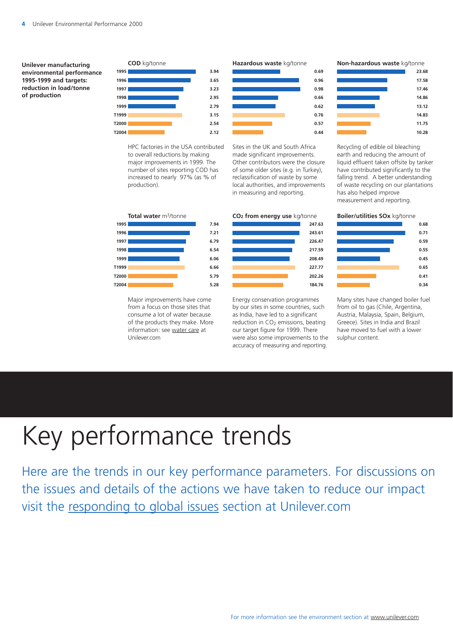**Unilever manufacturing environmental performance 1995-1999 and targets: reduction in load/tonne of production** 



HPC factories in the USA contributed to overall reductions by making major improvements in 1999. The number of sites reporting COD has increased to nearly 97% (as % of production).



Major improvements have come from a focus on those sites that consume a lot of water because of the products they make. More information: see [water care a](http://www.unilever.com/en/ta_cgr/sw.html)t Unilever.com





Sites in the UK and South Africa made significant improvements. Other contributors were the closure of some older sites (e.g. in Turkey), reclassification of waste by some local authorities, and improvements in measuring and reporting.



Energy conservation programmes by our sites in some countries, such as India, have led to a significant reduction in CO<sub>2</sub> emissions, beating our target figure for 1999. There were also some improvements to the accuracy of measuring and reporting.

### **Non-hazardous waste** kg/tonne



Recycling of edible oil bleaching earth and reducing the amount of liquid effluent taken offsite by tanker have contributed significantly to the falling trend. A better understanding of waste recycling on our plantations has also helped improve measurement and reporting.



Many sites have changed boiler fuel from oil to gas (Chile, Argentina, Austria, Malaysia, Spain, Belgium, Greece). Sites in India and Brazil have moved to fuel with a lower sulphur content.

# Key performance trends

Here are the trends in our key performance parameters. For discussions on the issues and details of the actions we have taken to reduce our impact visit the [responding to global issues](http://www.unilever.com/en/uo_rgi.html) section at Unilever.com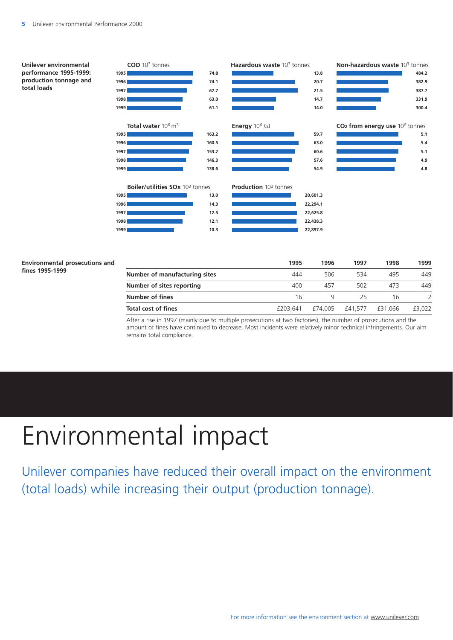



### **Environmental prosecutions and**  fines 1995-1999

|                               | 1995     | 1996    | 1997    | 1998    | 1999   |
|-------------------------------|----------|---------|---------|---------|--------|
| Number of manufacturing sites | 444      | 506     | 534     | 495     | 449    |
| Number of sites reporting     | 400      | 457     | 502     | 473     | 449    |
| Number of fines               | 16       |         | 25      | 16      |        |
| <b>Total cost of fines</b>    | £203.641 | £74.005 | £41.577 | £31.066 | £3,022 |

After a rise in 1997 (mainly due to multiple prosecutions at two factories), the number of prosecutions and the amount of fines have continued to decrease. Most incidents were relatively minor technical infringements. Our aim remains total compliance.

# Environmental impact

Unilever companies have reduced their overall impact on the environment (total loads) while increasing their output (production tonnage).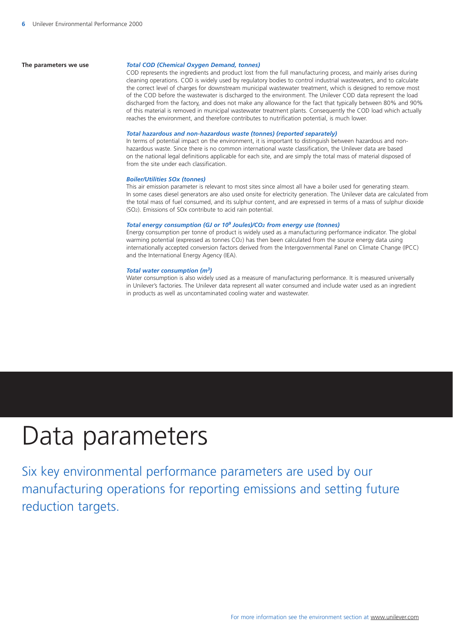### **The parameters we use** *Total COD (Chemical Oxygen Demand, tonnes)*

COD represents the ingredients and product lost from the full manufacturing process, and mainly arises during cleaning operations. COD is widely used by regulatory bodies to control industrial wastewaters, and to calculate the correct level of charges for downstream municipal wastewater treatment, which is designed to remove most of the COD before the wastewater is discharged to the environment. The Unilever COD data represent the load discharged from the factory, and does not make any allowance for the fact that typically between 80% and 90% of this material is removed in municipal wastewater treatment plants. Consequently the COD load which actually reaches the environment, and therefore contributes to nutrification potential, is much lower.

### *Total hazardous and non-hazardous waste (tonnes) (reported separately)*

In terms of potential impact on the environment, it is important to distinguish between hazardous and nonhazardous waste. Since there is no common international waste classification, the Unilever data are based on the national legal definitions applicable for each site, and are simply the total mass of material disposed of from the site under each classification.

### *Boiler/Utilities SOx (tonnes)*

This air emission parameter is relevant to most sites since almost all have a boiler used for generating steam. In some cases diesel generators are also used onsite for electricity generation. The Unilever data are calculated from the total mass of fuel consumed, and its sulphur content, and are expressed in terms of a mass of sulphur dioxide (SO2). Emissions of SOx contribute to acid rain potential.

### *Total energy consumption (GJ or 109 Joules)/CO2 from energy use (tonnes)*

Energy consumption per tonne of product is widely used as a manufacturing performance indicator. The global warming potential (expressed as tonnes CO2) has then been calculated from the source energy data using internationally accepted conversion factors derived from the Intergovernmental Panel on Climate Change (IPCC) and the International Energy Agency (IEA).

### *Total water consumption (m3)*

Water consumption is also widely used as a measure of manufacturing performance. It is measured universally in Unilever's factories. The Unilever data represent all water consumed and include water used as an ingredient in products as well as uncontaminated cooling water and wastewater.

### Data parameters

Six key environmental performance parameters are used by our manufacturing operations for reporting emissions and setting future reduction targets.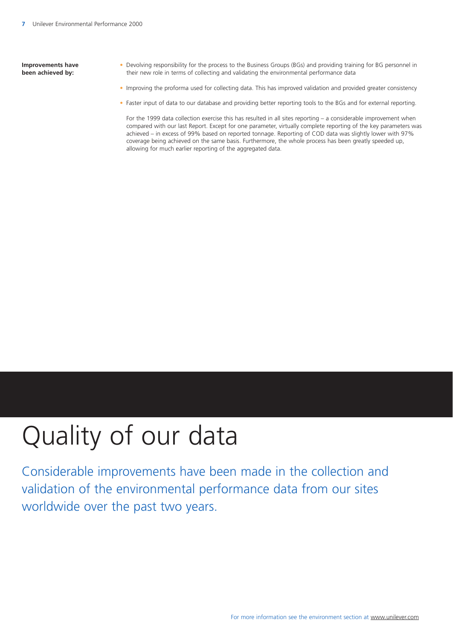**Improvements have been achieved by:** 

- Devolving responsibility for the process to the Business Groups (BGs) and providing training for BG personnel in their new role in terms of collecting and validating the environmental performance data
- Improving the proforma used for collecting data. This has improved validation and provided greater consistency
- Faster input of data to our database and providing better reporting tools to the BGs and for external reporting.

For the 1999 data collection exercise this has resulted in all sites reporting – a considerable improvement when compared with our last Report. Except for one parameter, virtually complete reporting of the key parameters was achieved – in excess of 99% based on reported tonnage. Reporting of COD data was slightly lower with 97% coverage being achieved on the same basis. Furthermore, the whole process has been greatly speeded up, allowing for much earlier reporting of the aggregated data.

# Quality of our data

Considerable improvements have been made in the collection and validation of the environmental performance data from our sites worldwide over the past two years.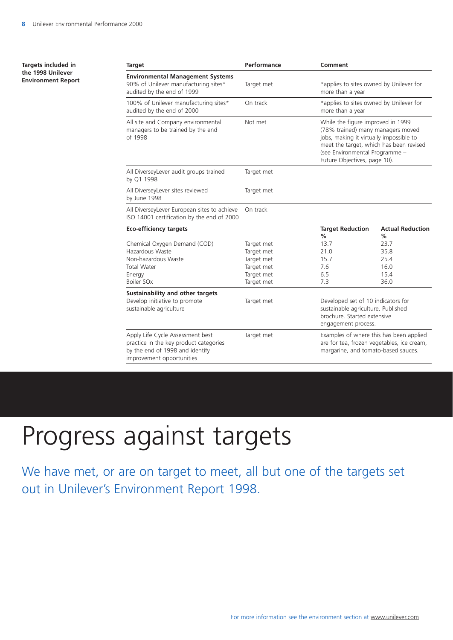| Targets included in<br>the 1998 Unilever<br><b>Environment Report</b> | <b>Target</b>                                                                                                                              | Performance | Comment                                                                                                                                                                                                                        |                              |  |
|-----------------------------------------------------------------------|--------------------------------------------------------------------------------------------------------------------------------------------|-------------|--------------------------------------------------------------------------------------------------------------------------------------------------------------------------------------------------------------------------------|------------------------------|--|
|                                                                       | <b>Environmental Management Systems</b><br>90% of Unilever manufacturing sites*<br>audited by the end of 1999                              | Target met  | *applies to sites owned by Unilever for<br>more than a year                                                                                                                                                                    |                              |  |
|                                                                       | 100% of Unilever manufacturing sites*<br>audited by the end of 2000                                                                        | On track    | *applies to sites owned by Unilever for<br>more than a year                                                                                                                                                                    |                              |  |
|                                                                       | All site and Company environmental<br>managers to be trained by the end<br>of 1998                                                         | Not met     | While the figure improved in 1999<br>(78% trained) many managers moved<br>jobs, making it virtually impossible to<br>meet the target, which has been revised<br>(see Environmental Programme -<br>Future Objectives, page 10). |                              |  |
|                                                                       | All DiverseyLever audit groups trained<br>by Q1 1998                                                                                       | Target met  |                                                                                                                                                                                                                                |                              |  |
|                                                                       | All DiverseyLever sites reviewed<br>by June 1998                                                                                           | Target met  |                                                                                                                                                                                                                                |                              |  |
|                                                                       | All DiverseyLever European sites to achieve<br>ISO 14001 certification by the end of 2000                                                  | On track    |                                                                                                                                                                                                                                |                              |  |
|                                                                       | <b>Eco-efficiency targets</b>                                                                                                              |             | <b>Target Reduction</b><br>%                                                                                                                                                                                                   | <b>Actual Reduction</b><br>% |  |
|                                                                       | Chemical Oxygen Demand (COD)                                                                                                               | Target met  | 13.7                                                                                                                                                                                                                           | 23.7                         |  |
|                                                                       | Hazardous Waste                                                                                                                            | Target met  | 21.0                                                                                                                                                                                                                           | 35.8                         |  |
|                                                                       | Non-hazardous Waste                                                                                                                        | Target met  | 15.7                                                                                                                                                                                                                           | 25.4                         |  |
|                                                                       | Total Water                                                                                                                                | Target met  | 7.6                                                                                                                                                                                                                            | 16.0                         |  |
|                                                                       | Energy                                                                                                                                     | Target met  | 6.5                                                                                                                                                                                                                            | 15.4                         |  |
|                                                                       | Boiler SOx                                                                                                                                 | Target met  | 7.3                                                                                                                                                                                                                            | 36.0                         |  |
|                                                                       | Sustainability and other targets<br>Develop initiative to promote<br>sustainable agriculture                                               | Target met  | Developed set of 10 indicators for<br>sustainable agriculture. Published<br>brochure. Started extensive<br>engagement process.                                                                                                 |                              |  |
|                                                                       | Apply Life Cycle Assessment best<br>practice in the key product categories<br>by the end of 1998 and identify<br>improvement opportunities | Target met  | Examples of where this has been applied<br>are for tea, frozen vegetables, ice cream,<br>margarine, and tomato-based sauces.                                                                                                   |                              |  |

# Progress against targets

We have met, or are on target to meet, all but one of the targets set out in Unilever's Environment Report 1998.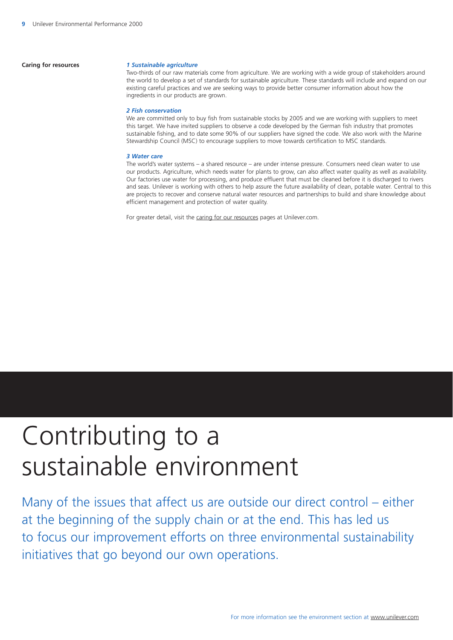### **Caring for resources** *1 Sustainable agriculture*

Two-thirds of our raw materials come from agriculture. We are working with a wide group of stakeholders around the world to develop a set of standards for sustainable agriculture. These standards will include and expand on our existing careful practices and we are seeking ways to provide better consumer information about how the ingredients in our products are grown.

### *2 Fish conservation*

We are committed only to buy fish from sustainable stocks by 2005 and we are working with suppliers to meet this target. We have invited suppliers to observe a code developed by the German fish industry that promotes sustainable fishing, and to date some 90% of our suppliers have signed the code. We also work with the Marine Stewardship Council (MSC) to encourage suppliers to move towards certification to MSC standards.

### *3 Water care*

The world's water systems – a shared resource – are under intense pressure. Consumers need clean water to use our products. Agriculture, which needs water for plants to grow, can also affect water quality as well as availability. Our factories use water for processing, and produce effluent that must be cleaned before it is discharged to rivers and seas. Unilever is working with others to help assure the future availability of clean, potable water. Central to this are projects to recover and conserve natural water resources and partnerships to build and share knowledge about efficient management and protection of water quality.

For greater detail, visit the [caring for our resources](http://www.unilever.com/en/ta_cgr.html) pages at Unilever.com.

# Contributing to a sustainable environment

Many of the issues that affect us are outside our direct control – either at the beginning of the supply chain or at the end. This has led us to focus our improvement efforts on three environmental sustainability initiatives that go beyond our own operations.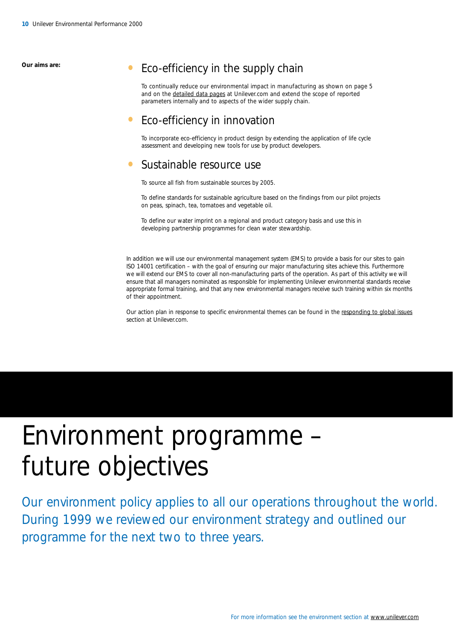### <span id="page-10-0"></span>**Our aims are: •** Eco-efficiency in the supply chain

To continually reduce our environmental impact in manufacturing as shown on page 5 and on the [detailed data pages](http://www.unilever.com/en/ui_dd.html) at Unilever.com and extend the scope of reported parameters internally and to aspects of the wider supply chain.

### • Eco-efficiency in innovation

To incorporate eco-efficiency in product design by extending the application of life cycle assessment and developing new tools for use by product developers.

### • Sustainable resource use

To source all fish from sustainable sources by 2005.

To define standards for sustainable agriculture based on the findings from our pilot projects on peas, spinach, tea, tomatoes and vegetable oil.

To define our water imprint on a regional and product category basis and use this in developing partnership programmes for clean water stewardship.

In addition we will use our environmental management system (EMS) to provide a basis for our sites to gain ISO 14001 certification – with the goal of ensuring our major manufacturing sites achieve this. Furthermore we will extend our EMS to cover all non-manufacturing parts of the operation. As part of this activity we will ensure that all managers nominated as responsible for implementing Unilever environmental standards receive appropriate formal training, and that any new environmental managers receive such training within six months of their appointment.

Our action plan in response to specific environmental themes can be found in th[e responding to global issues](http://www.unilever.com/en/uo_rgi.html) section at Unilever.com

# Environment programme future objectives

Our environment policy applies to all our operations throughout the world. During 1999 we reviewed our environment strategy and outlined our programme for the next two to three years.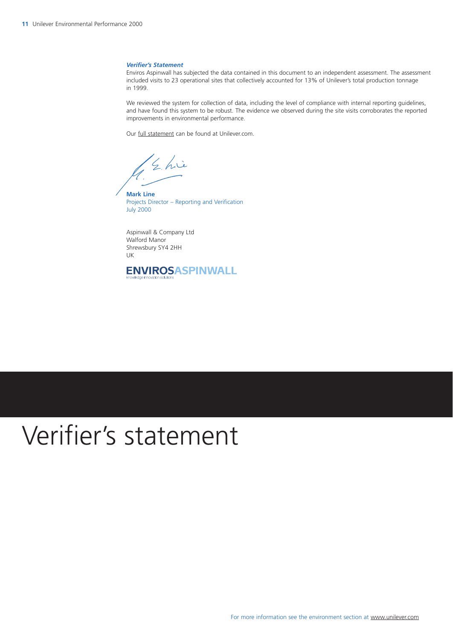### <span id="page-11-0"></span>*Verifier's Statement*

Enviros Aspinwall has subjected the data contained in this document to an independent assessment. The assessment included visits to 23 operational sites that collectively accounted for 13% of Unilever's total production tonnage in 1999.

We reviewed the system for collection of data, including the level of compliance with internal reporting guidelines, and have found this system to be robust. The evidence we observed during the site visits corroborates the reported improvements in environmental performance.

Our [full statement](http://www.unilever.com/en/ui_dd/vs.html) can be found at Unilever.com.

/ Ehie

**Mark Line**  Projects Director – Reporting and Verification July 2000

Aspinwall & Company Ltd Walford Manor Shrewsbury SY4 2HH UK



# Verifier's statement